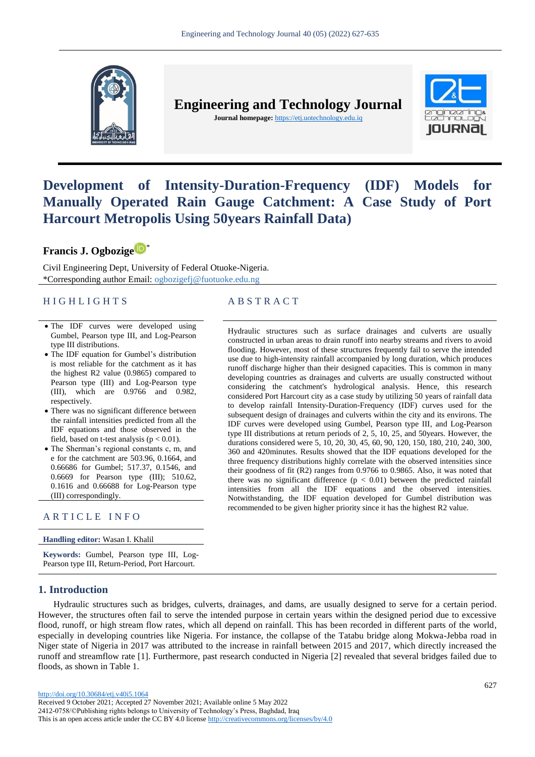

**Engineering and Technology Journal** 

**Journal homepage:** https://etj.uotechnology.edu.iq



# **Development of Intensity-Duration-Frequency (IDF) Models for Manually Operated Rain Gauge Catchment: A Case Study of Port Harcourt Metropolis Using 50years Rainfall Data)**

**Francis J. Ogbozige** \*

Civil Engineering Dept, University of Federal Otuoke-Nigeria. \*Corresponding author Email: ogbozigefj@fuotuoke.edu.ng

# H I G H L I G H T S A B S T R A C T

- The IDF curves were developed using Gumbel, Pearson type III, and Log-Pearson type III distributions.
- The IDF equation for Gumbel's distribution is most reliable for the catchment as it has the highest R2 value (0.9865) compared to Pearson type (III) and Log-Pearson type (III), which are 0.9766 and 0.982, respectively.
- There was no significant difference between the rainfall intensities predicted from all the IDF equations and those observed in the field, based on t-test analysis ( $p < 0.01$ ).
- The Sherman's regional constants c, m, and e for the catchment are 503.96, 0.1664, and 0.66686 for Gumbel; 517.37, 0.1546, and 0.6669 for Pearson type (III); 510.62, 0.1616 and 0.66688 for Log-Pearson type (III) correspondingly.

# ARTICLE INFO

**Handling editor:** Wasan I. Khalil

**Keywords:** Gumbel, Pearson type III, Log-Pearson type III, Return-Period, Port Harcourt.

# **1. Introduction**

Hydraulic structures such as surface drainages and culverts are usually constructed in urban areas to drain runoff into nearby streams and rivers to avoid flooding. However, most of these structures frequently fail to serve the intended use due to high-intensity rainfall accompanied by long duration, which produces runoff discharge higher than their designed capacities. This is common in many developing countries as drainages and culverts are usually constructed without considering the catchment's hydrological analysis. Hence, this research considered Port Harcourt city as a case study by utilizing 50 years of rainfall data to develop rainfall Intensity-Duration-Frequency (IDF) curves used for the subsequent design of drainages and culverts within the city and its environs. The IDF curves were developed using Gumbel, Pearson type III, and Log-Pearson type III distributions at return periods of 2, 5, 10, 25, and 50years. However, the durations considered were 5, 10, 20, 30, 45, 60, 90, 120, 150, 180, 210, 240, 300, 360 and 420minutes. Results showed that the IDF equations developed for the three frequency distributions highly correlate with the observed intensities since their goodness of fit (R2) ranges from 0.9766 to 0.9865. Also, it was noted that there was no significant difference  $(p < 0.01)$  between the predicted rainfall intensities from all the IDF equations and the observed intensities. Notwithstanding, the IDF equation developed for Gumbel distribution was recommended to be given higher priority since it has the highest R2 value.

Hydraulic structures such as bridges, culverts, drainages, and dams, are usually designed to serve for a certain period. However, the structures often fail to serve the intended purpose in certain years within the designed period due to excessive flood, runoff, or high stream flow rates, which all depend on rainfall. This has been recorded in different parts of the world, especially in developing countries like Nigeria. For instance, the collapse of the Tatabu bridge along Mokwa-Jebba road in Niger state of Nigeria in 2017 was attributed to the increase in rainfall between 2015 and 2017, which directly increased the runoff and streamflow rate [1]. Furthermore, past research conducted in Nigeria [2] revealed that several bridges failed due to floods, as shown in Table 1.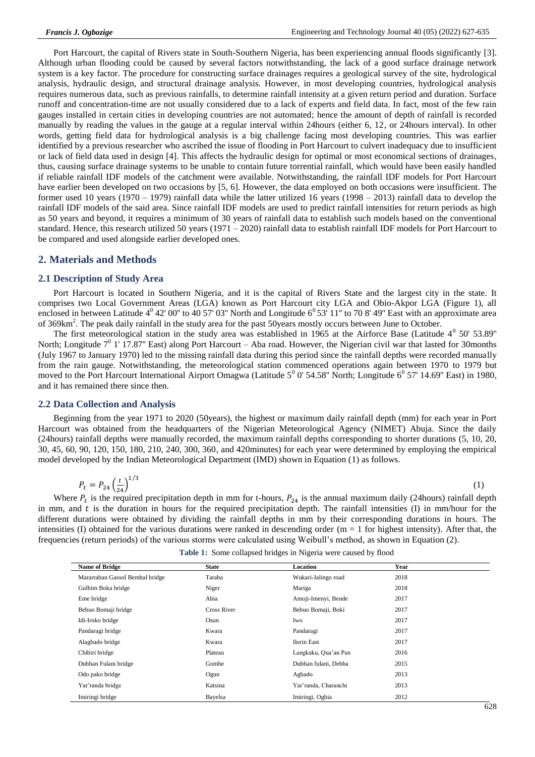Port Harcourt, the capital of Rivers state in South-Southern Nigeria, has been experiencing annual floods significantly [3]. Although urban flooding could be caused by several factors notwithstanding, the lack of a good surface drainage network system is a key factor. The procedure for constructing surface drainages requires a geological survey of the site, hydrological analysis, hydraulic design, and structural drainage analysis. However, in most developing countries, hydrological analysis requires numerous data, such as previous rainfalls, to determine rainfall intensity at a given return period and duration. Surface runoff and concentration-time are not usually considered due to a lack of experts and field data. In fact, most of the few rain gauges installed in certain cities in developing countries are not automated; hence the amount of depth of rainfall is recorded manually by reading the values in the gauge at a regular interval within 24hours (either 6, 12, or 24hours interval). In other words, getting field data for hydrological analysis is a big challenge facing most developing countries. This was earlier identified by a previous researcher who ascribed the issue of flooding in Port Harcourt to culvert inadequacy due to insufficient or lack of field data used in design [4]. This affects the hydraulic design for optimal or most economical sections of drainages, thus, causing surface drainage systems to be unable to contain future torrential rainfall, which would have been easily handled if reliable rainfall IDF models of the catchment were available. Notwithstanding, the rainfall IDF models for Port Harcourt have earlier been developed on two occasions by [5, 6]. However, the data employed on both occasions were insufficient. The former used 10 years (1970 – 1979) rainfall data while the latter utilized 16 years (1998 – 2013) rainfall data to develop the rainfall IDF models of the said area. Since rainfall IDF models are used to predict rainfall intensities for return periods as high as 50 years and beyond, it requires a minimum of 30 years of rainfall data to establish such models based on the conventional standard. Hence, this research utilized 50 years (1971 – 2020) rainfall data to establish rainfall IDF models for Port Harcourt to be compared and used alongside earlier developed ones.

# **2. Materials and Methods**

# **2.1 Description of Study Area**

Port Harcourt is located in Southern Nigeria, and it is the capital of Rivers State and the largest city in the state. It comprises two Local Government Areas (LGA) known as Port Harcourt city LGA and Obio-Akpor LGA (Figure 1), all enclosed in between Latitude  $4^0$  42' 00" to 40 57' 03" North and Longitude  $6^0$  53' 11" to 70 8' 49" East with an approximate area of 369km<sup>2</sup>. The peak daily rainfall in the study area for the past 50years mostly occurs between June to October.

The first meteorological station in the study area was established in 1965 at the Airforce Base (Latitude  $4^0$  50' 53.89" North; Longitude  $7^0$  1' 17.87" East) along Port Harcourt – Aba road. However, the Nigerian civil war that lasted for 30months (July 1967 to January 1970) led to the missing rainfall data during this period since the rainfall depths were recorded manually from the rain gauge. Notwithstanding, the meteorological station commenced operations again between 1970 to 1979 but moved to the Port Harcourt International Airport Omagwa (Latitude  $5^0$  0' 54.58" North; Longitude  $6^0$  57' 14.69" East) in 1980, and it has remained there since then.

#### **2.2 Data Collection and Analysis**

Beginning from the year 1971 to 2020 (50years), the highest or maximum daily rainfall depth (mm) for each year in Port Harcourt was obtained from the headquarters of the Nigerian Meteorological Agency (NIMET) Abuja. Since the daily (24hours) rainfall depths were manually recorded, the maximum rainfall depths corresponding to shorter durations (5, 10, 20, 30, 45, 60, 90, 120, 150, 180, 210, 240, 300, 360, and 420minutes) for each year were determined by employing the empirical model developed by the Indian Meteorological Department (IMD) shown in Equation (1) as follows.

$$
P_t = P_{24} \left(\frac{t}{24}\right)^{1/3} \tag{1}
$$

Where  $P_t$  is the required precipitation depth in mm for t-hours,  $P_{24}$  is the annual maximum daily (24hours) rainfall depth in mm, and  $t$  is the duration in hours for the required precipitation depth. The rainfall intensities (I) in mm/hour for the different durations were obtained by dividing the rainfall depths in mm by their corresponding durations in hours. The intensities (I) obtained for the various durations were ranked in descending order ( $m = 1$  for highest intensity). After that, the frequencies (return periods) of the various storms were calculated using Weibull's method, as shown in Equation (2).

| <b>Name of Bridge</b>           | <b>State</b>       | Location             | Year |  |
|---------------------------------|--------------------|----------------------|------|--|
| Mararraban Gassol Bembal bridge | Taraba             | Wukari-Jalingo road  | 2018 |  |
| Gulbim Boka bridge              | Niger              | Mariga               | 2018 |  |
| Eme bridge                      | Abia               | Amoji-Imenyi, Bende  | 2017 |  |
| Bebuo Bomaji bridge             | <b>Cross River</b> | Bebuo Bomaji, Boki   | 2017 |  |
| Idi-Iroko bridge                | Osun               | Iwo                  | 2017 |  |
| Pandaragi bridge                | Kwara              | Pandaragi            | 2017 |  |
| Alagbado bridge                 | Kwara              | <b>Ilorin East</b>   | 2017 |  |
| Chibiri bridge                  | Plateau            | Langkaku, Qua'an Pan | 2016 |  |
| Dubban Fulani bridge            | Gombe              | Dubban fulani, Debba | 2015 |  |
| Odo pako bridge                 | Ogun               | Agbado               | 2013 |  |
| Yar'randa bridge                | Katsina            | Yar'randa, Charanchi | 2013 |  |
| Imiringi bridge                 | Bayelsa            | Imiringi, Ogbia      | 2012 |  |

**Table 1:** Some collapsed bridges in Nigeria were caused by flood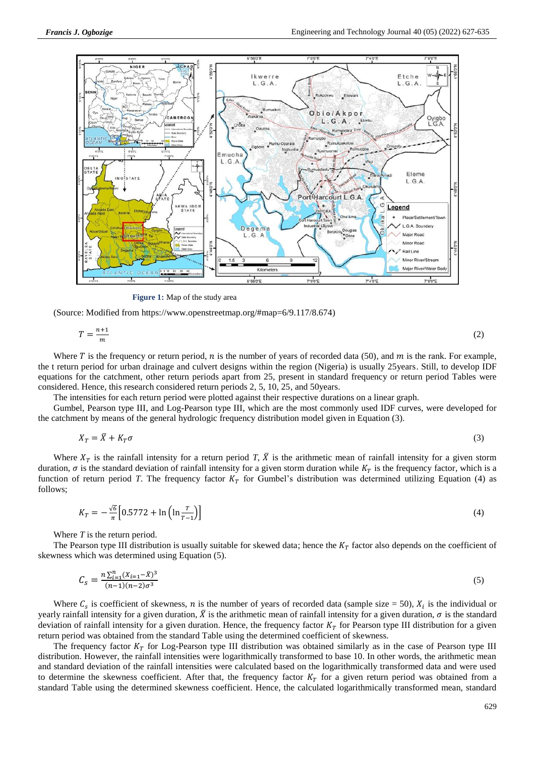

**Figure 1:** Map of the study area

(Source: Modified from [https://www.openstreetmap.org/#map=6/9.117/8.674\)](https://www.openstreetmap.org/#map=6/9.117/8.674)

$$
T = \frac{n+1}{m} \tag{2}
$$

Where T is the frequency or return period, n is the number of years of recorded data (50), and m is the rank. For example, the t return period for urban drainage and culvert designs within the region (Nigeria) is usually 25years. Still, to develop IDF equations for the catchment, other return periods apart from 25, present in standard frequency or return period Tables were considered. Hence, this research considered return periods 2, 5, 10, 25, and 50years.

The intensities for each return period were plotted against their respective durations on a linear graph.

Gumbel, Pearson type III, and Log-Pearson type III, which are the most commonly used IDF curves, were developed for the catchment by means of the general hydrologic frequency distribution model given in Equation (3).

$$
X_T = \overline{X} + K_T \sigma \tag{3}
$$

Where  $X_T$  is the rainfall intensity for a return period *T*,  $\bar{X}$  is the arithmetic mean of rainfall intensity for a given storm duration,  $\sigma$  is the standard deviation of rainfall intensity for a given storm duration while  $K<sub>T</sub>$  is the frequency factor, which is a function of return period *T*. The frequency factor  $K<sub>T</sub>$  for Gumbel's distribution was determined utilizing Equation (4) as follows;

$$
K_T = -\frac{\sqrt{6}}{\pi} \left[ 0.5772 + \ln\left(\ln\frac{T}{T-1}\right) \right] \tag{4}
$$

Where *T* is the return period.

The Pearson type III distribution is usually suitable for skewed data; hence the  $K<sub>T</sub>$  factor also depends on the coefficient of skewness which was determined using Equation (5).

$$
C_{\rm s} = \frac{n \sum_{i=1}^{n} (X_{i=1} - \bar{X})^3}{(n-1)(n-2)\sigma^3}
$$
\n<sup>(5)</sup>

Where  $C_s$  is coefficient of skewness, *n* is the number of years of recorded data (sample size = 50),  $X_i$  is the individual or yearly rainfall intensity for a given duration,  $\bar{X}$  is the arithmetic mean of rainfall intensity for a given duration,  $\sigma$  is the standard deviation of rainfall intensity for a given duration. Hence, the frequency factor  $K<sub>T</sub>$  for Pearson type III distribution for a given return period was obtained from the standard Table using the determined coefficient of skewness.

The frequency factor  $K_T$  for Log-Pearson type III distribution was obtained similarly as in the case of Pearson type III distribution. However, the rainfall intensities were logarithmically transformed to base 10. In other words, the arithmetic mean and standard deviation of the rainfall intensities were calculated based on the logarithmically transformed data and were used to determine the skewness coefficient. After that, the frequency factor  $K<sub>T</sub>$  for a given return period was obtained from a standard Table using the determined skewness coefficient. Hence, the calculated logarithmically transformed mean, standard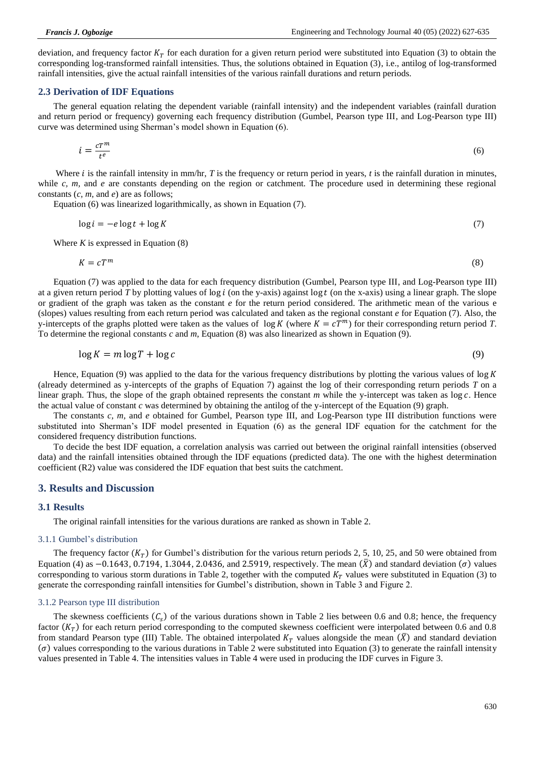deviation, and frequency factor  $K<sub>T</sub>$  for each duration for a given return period were substituted into Equation (3) to obtain the corresponding log-transformed rainfall intensities. Thus, the solutions obtained in Equation (3), i.e., antilog of log-transformed rainfall intensities, give the actual rainfall intensities of the various rainfall durations and return periods.

#### **2.3 Derivation of IDF Equations**

The general equation relating the dependent variable (rainfall intensity) and the independent variables (rainfall duration and return period or frequency) governing each frequency distribution (Gumbel, Pearson type III, and Log-Pearson type III) curve was determined using Sherman's model shown in Equation (6).

$$
i = \frac{c T^m}{t^e} \tag{6}
$$

Where  $i$  is the rainfall intensity in mm/hr,  $T$  is the frequency or return period in years,  $t$  is the rainfall duration in minutes, while *c, m,* and *e* are constants depending on the region or catchment. The procedure used in determining these regional constants (*c, m,* and *e*) are as follows;

Equation (6) was linearized logarithmically, as shown in Equation (7).

$$
\log i = -e \log t + \log K \tag{7}
$$

Where  $K$  is expressed in Equation  $(8)$ 

$$
K = cT^m \tag{8}
$$

Equation (7) was applied to the data for each frequency distribution (Gumbel, Pearson type III, and Log-Pearson type III) at a given return period *T* by plotting values of  $log i$  (on the y-axis) against  $log t$  (on the x-axis) using a linear graph. The slope or gradient of the graph was taken as the constant *e* for the return period considered. The arithmetic mean of the various e (slopes) values resulting from each return period was calculated and taken as the regional constant *e* for Equation (7). Also, the y-intercepts of the graphs plotted were taken as the values of  $\log K$  (where  $K = cT^m$ ) for their corresponding return period *T*. To determine the regional constants *c* and *m*, Equation (8) was also linearized as shown in Equation (9).

$$
\log K = m \log T + \log c \tag{9}
$$

Hence, Equation (9) was applied to the data for the various frequency distributions by plotting the various values of  $\log K$ (already determined as y-intercepts of the graphs of Equation 7) against the log of their corresponding return periods *T* on a linear graph. Thus, the slope of the graph obtained represents the constant  $m$  while the y-intercept was taken as  $\log c$ . Hence the actual value of constant  $c$  was determined by obtaining the antilog of the y-intercept of the Equation (9) graph.

The constants *c, m,* and *e* obtained for Gumbel, Pearson type III, and Log-Pearson type III distribution functions were substituted into Sherman's IDF model presented in Equation (6) as the general IDF equation for the catchment for the considered frequency distribution functions.

To decide the best IDF equation, a correlation analysis was carried out between the original rainfall intensities (observed data) and the rainfall intensities obtained through the IDF equations (predicted data). The one with the highest determination coefficient (R2) value was considered the IDF equation that best suits the catchment.

# **3. Results and Discussion**

### **3.1 Results**

The original rainfall intensities for the various durations are ranked as shown in Table 2.

#### 3.1.1 Gumbel's distribution

The frequency factor  $(K_T)$  for Gumbel's distribution for the various return periods 2, 5, 10, 25, and 50 were obtained from Equation (4) as  $-0.1643, 0.7194, 1.3044, 2.0436$ , and 2.5919, respectively. The mean  $(\bar{X})$  and standard deviation ( $\sigma$ ) values corresponding to various storm durations in Table 2, together with the computed  $K<sub>T</sub>$  values were substituted in Equation (3) to generate the corresponding rainfall intensities for Gumbel's distribution, shown in Table 3 and Figure 2.

#### 3.1.2 Pearson type III distribution

The skewness coefficients  $(C_s)$  of the various durations shown in Table 2 lies between 0.6 and 0.8; hence, the frequency factor  $(K_T)$  for each return period corresponding to the computed skewness coefficient were interpolated between 0.6 and 0.8 from standard Pearson type (III) Table. The obtained interpolated  $K_T$  values alongside the mean  $(\bar{X})$  and standard deviation  $\sigma$ ) values corresponding to the various durations in Table 2 were substituted into Equation (3) to generate the rainfall intensity values presented in Table 4. The intensities values in Table 4 were used in producing the IDF curves in Figure 3.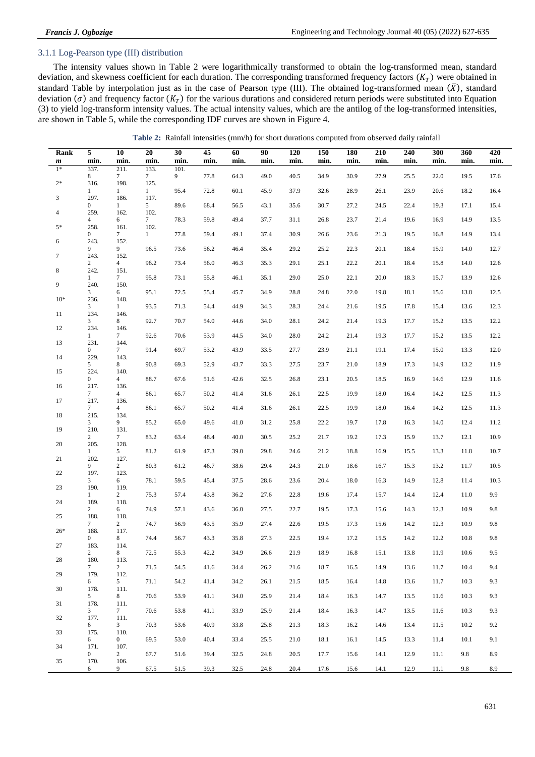# 3.1.1 Log-Pearson type (III) distribution

The intensity values shown in Table 2 were logarithmically transformed to obtain the log-transformed mean, standard deviation, and skewness coefficient for each duration. The corresponding transformed frequency factors  $(K_T)$  were obtained in standard Table by interpolation just as in the case of Pearson type (III). The obtained log-transformed mean  $(\bar{X})$ , standard deviation ( $\sigma$ ) and frequency factor ( $K_T$ ) for the various durations and considered return periods were substituted into Equation (3) to yield log-transform intensity values. The actual intensity values, which are the antilog of the log-transformed intensities, are shown in Table 5, while the corresponding IDF curves are shown in Figure 4.

|  | Table 2: Rainfall intensities (mm/h) for short durations computed from observed daily rainfall |  |
|--|------------------------------------------------------------------------------------------------|--|
|--|------------------------------------------------------------------------------------------------|--|

| Rank                     | 5                      | 10                      | $20\,$                  | 30           | 45   | 60   | 90   | 120  | 150  | 180  | 210  | 240  | 300  | 360  | 420  |
|--------------------------|------------------------|-------------------------|-------------------------|--------------|------|------|------|------|------|------|------|------|------|------|------|
| $\boldsymbol{m}$<br>$1*$ | min.<br>337.           | min.<br>211.            | min.<br>133.            | min.<br>101. | min. | min. | min. | min. | min. | min. | min. | min. | min. | min. | min. |
| $2*$                     | 8                      | $7\phantom{.0}$         | $7\phantom{.0}$         | 9            | 77.8 | 64.3 | 49.0 | 40.5 | 34.9 | 30.9 | 27.9 | 25.5 | 22.0 | 19.5 | 17.6 |
|                          | 316.<br>1              | 198.<br>1               | 125.<br>$\mathbf{1}$    | 95.4         | 72.8 | 60.1 | 45.9 | 37.9 | 32.6 | 28.9 | 26.1 | 23.9 | 20.6 | 18.2 | 16.4 |
| 3                        | 297.<br>$\overline{0}$ | 186.<br>$\mathbf{1}$    | 117.<br>5               | 89.6         | 68.4 | 56.5 | 43.1 | 35.6 | 30.7 | 27.2 | 24.5 | 22.4 | 19.3 | 17.1 | 15.4 |
| 4                        | 259.<br>4              | 162.<br>6               | 102.<br>$7\phantom{.0}$ | 78.3         | 59.8 | 49.4 | 37.7 | 31.1 | 26.8 | 23.7 | 21.4 | 19.6 | 16.9 | 14.9 | 13.5 |
| $5*$                     | 258.<br>$\mathbf{0}$   | 161.<br>$\tau$          | 102.<br>$\mathbf{1}$    | 77.8         | 59.4 | 49.1 | 37.4 | 30.9 | 26.6 | 23.6 | 21.3 | 19.5 | 16.8 | 14.9 | 13.4 |
| 6                        | 243.<br>9              | 152.<br>9               | 96.5                    | 73.6         | 56.2 | 46.4 | 35.4 | 29.2 | 25.2 | 22.3 | 20.1 | 18.4 | 15.9 | 14.0 | 12.7 |
| $\tau$                   | 243.                   | 152.                    | 96.2                    | 73.4         |      |      |      |      |      | 22.2 |      |      |      |      |      |
| 8                        | $\overline{2}$<br>242. | 4<br>151.               |                         |              | 56.0 | 46.3 | 35.3 | 29.1 | 25.1 |      | 20.1 | 18.4 | 15.8 | 14.0 | 12.6 |
| 9                        | 1<br>240.              | 7<br>150.               | 95.8                    | 73.1         | 55.8 | 46.1 | 35.1 | 29.0 | 25.0 | 22.1 | 20.0 | 18.3 | 15.7 | 13.9 | 12.6 |
| $10*$                    | 3<br>236.              | 6<br>148.               | 95.1                    | 72.5         | 55.4 | 45.7 | 34.9 | 28.8 | 24.8 | 22.0 | 19.8 | 18.1 | 15.6 | 13.8 | 12.5 |
| 11                       | 3<br>234.              | $\mathbf{1}$<br>146.    | 93.5                    | 71.3         | 54.4 | 44.9 | 34.3 | 28.3 | 24.4 | 21.6 | 19.5 | 17.8 | 15.4 | 13.6 | 12.3 |
| 12                       | 3<br>234.              | 8<br>146.               | 92.7                    | 70.7         | 54.0 | 44.6 | 34.0 | 28.1 | 24.2 | 21.4 | 19.3 | 17.7 | 15.2 | 13.5 | 12.2 |
|                          | $\mathbf{1}$           | 7                       | 92.6                    | 70.6         | 53.9 | 44.5 | 34.0 | 28.0 | 24.2 | 21.4 | 19.3 | 17.7 | 15.2 | 13.5 | 12.2 |
| 13                       | 231.<br>$\overline{0}$ | 144.<br>7               | 91.4                    | 69.7         | 53.2 | 43.9 | 33.5 | 27.7 | 23.9 | 21.1 | 19.1 | 17.4 | 15.0 | 13.3 | 12.0 |
| 14                       | 229.<br>5              | 143.<br>8               | 90.8                    | 69.3         | 52.9 | 43.7 | 33.3 | 27.5 | 23.7 | 21.0 | 18.9 | 17.3 | 14.9 | 13.2 | 11.9 |
| 15                       | 224.<br>$\overline{0}$ | 140.<br>4               | 88.7                    | 67.6         | 51.6 | 42.6 | 32.5 | 26.8 | 23.1 | 20.5 | 18.5 | 16.9 | 14.6 | 12.9 | 11.6 |
| 16                       | 217.<br>7              | 136.<br>$\overline{4}$  | 86.1                    | 65.7         | 50.2 | 41.4 | 31.6 | 26.1 | 22.5 | 19.9 | 18.0 | 16.4 | 14.2 | 12.5 | 11.3 |
| 17                       | 217.<br>$\tau$         | 136.<br>$\overline{4}$  | 86.1                    | 65.7         | 50.2 | 41.4 | 31.6 | 26.1 | 22.5 | 19.9 | 18.0 | 16.4 | 14.2 | 12.5 | 11.3 |
| 18                       | 215.<br>3              | 134.<br>9               | 85.2                    | 65.0         | 49.6 | 41.0 | 31.2 | 25.8 | 22.2 | 19.7 | 17.8 | 16.3 | 14.0 | 12.4 | 11.2 |
| 19                       | 210.                   | 131.                    |                         |              |      |      |      |      |      |      |      |      |      |      |      |
| 20                       | 2<br>205.              | 7<br>128.               | 83.2                    | 63.4         | 48.4 | 40.0 | 30.5 | 25.2 | 21.7 | 19.2 | 17.3 | 15.9 | 13.7 | 12.1 | 10.9 |
| 21                       | $\mathbf{1}$<br>202.   | 5<br>127.               | 81.2                    | 61.9         | 47.3 | 39.0 | 29.8 | 24.6 | 21.2 | 18.8 | 16.9 | 15.5 | 13.3 | 11.8 | 10.7 |
| 22                       | 9<br>197.              | $\overline{c}$<br>123.  | 80.3                    | 61.2         | 46.7 | 38.6 | 29.4 | 24.3 | 21.0 | 18.6 | 16.7 | 15.3 | 13.2 | 11.7 | 10.5 |
| 23                       | 3<br>190.              | 6<br>119.               | 78.1                    | 59.5         | 45.4 | 37.5 | 28.6 | 23.6 | 20.4 | 18.0 | 16.3 | 14.9 | 12.8 | 11.4 | 10.3 |
| 24                       | $\mathbf{1}$<br>189.   | $\overline{2}$<br>118.  | 75.3                    | 57.4         | 43.8 | 36.2 | 27.6 | 22.8 | 19.6 | 17.4 | 15.7 | 14.4 | 12.4 | 11.0 | 9.9  |
| 25                       | 2<br>188.              | 6<br>118.               | 74.9                    | 57.1         | 43.6 | 36.0 | 27.5 | 22.7 | 19.5 | 17.3 | 15.6 | 14.3 | 12.3 | 10.9 | 9.8  |
|                          | 7                      | 2                       | 74.7                    | 56.9         | 43.5 | 35.9 | 27.4 | 22.6 | 19.5 | 17.3 | 15.6 | 14.2 | 12.3 | 10.9 | 9.8  |
| $26*$                    | 188.<br>0              | 117.<br>8               | 74.4                    | 56.7         | 43.3 | 35.8 | 27.3 | 22.5 | 19.4 | 17.2 | 15.5 | 14.2 | 12.2 | 10.8 | 9.8  |
| 27                       | 183.<br>$\overline{c}$ | 114.<br>8               | 72.5                    | 55.3         | 42.2 | 34.9 | 26.6 | 21.9 | 18.9 | 16.8 | 15.1 | 13.8 | 11.9 | 10.6 | 9.5  |
| 28                       | 180.<br>7              | 113.<br>2               | 71.5                    | 54.5         | 41.6 | 34.4 | 26.2 | 21.6 | 18.7 | 16.5 | 14.9 | 13.6 | 11.7 | 10.4 | 9.4  |
| 29                       | 179.<br>6              | 112.<br>5               | 71.1                    | 54.2         | 41.4 | 34.2 | 26.1 | 21.5 | 18.5 | 16.4 | 14.8 | 13.6 | 11.7 | 10.3 | 9.3  |
| 30                       | 178.<br>5              | 111.<br>8               | 70.6                    | 53.9         | 41.1 | 34.0 | 25.9 | 21.4 | 18.4 | 16.3 | 14.7 | 13.5 | 11.6 | 10.3 | 9.3  |
| 31                       | 178.<br>3              | 111.                    | 70.6                    | 53.8         | 41.1 | 33.9 | 25.9 | 21.4 | 18.4 | 16.3 | 14.7 |      | 11.6 | 10.3 | 9.3  |
| 32                       | 177.                   | $7\phantom{.0}$<br>111. |                         |              |      |      |      |      |      |      |      | 13.5 |      |      |      |
| 33                       | 6<br>175.              | 3<br>110.               | 70.3                    | 53.6         | 40.9 | 33.8 | 25.8 | 21.3 | 18.3 | 16.2 | 14.6 | 13.4 | 11.5 | 10.2 | 9.2  |
| 34                       | 6<br>171.              | $\overline{0}$<br>107.  | 69.5                    | 53.0         | 40.4 | 33.4 | 25.5 | 21.0 | 18.1 | 16.1 | 14.5 | 13.3 | 11.4 | 10.1 | 9.1  |
| 35                       | $\mathbf{0}$<br>170.   | $\overline{c}$<br>106.  | 67.7                    | 51.6         | 39.4 | 32.5 | 24.8 | 20.5 | 17.7 | 15.6 | 14.1 | 12.9 | 11.1 | 9.8  | 8.9  |
|                          | 6                      | 9                       | 67.5                    | 51.5         | 39.3 | 32.5 | 24.8 | 20.4 | 17.6 | 15.6 | 14.1 | 12.9 | 11.1 | 9.8  | 8.9  |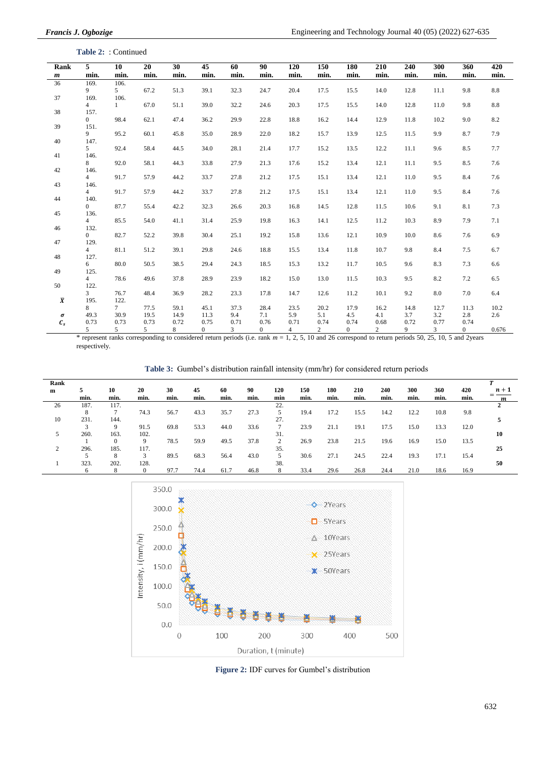**Table 2:** : Continued

| Rank             | 5                      | 10            | 20        | 30                           | 45                             | 60         | 90                    | 120                    | 150                    | 180                  | 210                    | 240       | 300                                        | 360            | 420             |
|------------------|------------------------|---------------|-----------|------------------------------|--------------------------------|------------|-----------------------|------------------------|------------------------|----------------------|------------------------|-----------|--------------------------------------------|----------------|-----------------|
| $\boldsymbol{m}$ | min.                   | min.          | min.      | min.                         | min.                           | min.       | min.                  | min.                   | min.                   | min.                 | min.                   | min.      | min.                                       | min.           | min.            |
| 36               | 169.                   | 106.          |           |                              |                                |            |                       |                        |                        |                      |                        |           |                                            |                |                 |
|                  | 9                      | $5^{\circ}$   | 67.2      | 51.3                         | 39.1                           | 32.3       | 24.7                  | 20.4                   | 17.5                   | 15.5                 | 14.0                   | 12.8      | 11.1                                       | 9.8            | $\!\!\!\!\!8.8$ |
| 37               | 169.                   | 106.          |           |                              |                                |            |                       |                        |                        |                      |                        |           |                                            |                |                 |
|                  | $\overline{4}$         | $\mathbf{1}$  | 67.0      | 51.1                         | 39.0                           | 32.2       | 24.6                  | 20.3                   | 17.5                   | 15.5                 | 14.0                   | 12.8      | 11.0                                       | 9.8            | $\!\!\!\!\!8.8$ |
| 38               | 157.                   |               |           |                              |                                |            |                       |                        |                        |                      |                        |           |                                            |                |                 |
|                  | $\overline{0}$         | 98.4          | 62.1      | 47.4                         | 36.2                           | 29.9       | 22.8                  | 18.8                   | 16.2                   | 14.4                 | 12.9                   | 11.8      | 10.2                                       | 9.0            | 8.2             |
| 39               | 151.<br>9              | 95.2          | 60.1      | 45.8                         | 35.0                           | 28.9       | 22.0                  | 18.2                   | 15.7                   | 13.9                 | 12.5                   | 11.5      | 9.9                                        | 8.7            | 7.9             |
| 40               | 147.                   |               |           |                              |                                |            |                       |                        |                        |                      |                        |           |                                            |                |                 |
|                  | 5                      | 92.4          | 58.4      | 44.5                         | 34.0                           | 28.1       | 21.4                  | 17.7                   | 15.2                   | 13.5                 | 12.2                   | 11.1      | 9.6                                        | 8.5            | 7.7             |
| 41               | 146.                   |               |           |                              |                                |            |                       |                        |                        |                      |                        |           |                                            |                |                 |
|                  | 8                      | 92.0          | 58.1      | 44.3                         | 33.8                           | 27.9       | 21.3                  | 17.6                   | 15.2                   | 13.4                 | 12.1                   | 11.1      | 9.5                                        | 8.5            | 7.6             |
| 42               | 146.                   |               |           |                              |                                |            |                       |                        |                        |                      |                        |           |                                            |                |                 |
|                  | $\overline{4}$         | 91.7          | 57.9      | 44.2                         | 33.7                           | 27.8       | 21.2                  | 17.5                   | 15.1                   | 13.4                 | 12.1                   | 11.0      | 9.5                                        | 8.4            | 7.6             |
| 43               | 146.                   |               |           |                              |                                |            |                       |                        |                        |                      |                        |           |                                            |                |                 |
|                  | $\overline{4}$         | 91.7          | 57.9      | 44.2                         | 33.7                           | 27.8       | 21.2                  | 17.5                   | 15.1                   | 13.4                 | 12.1                   | 11.0      | 9.5                                        | 8.4            | 7.6             |
| 44               | 140.                   |               |           |                              |                                |            |                       |                        |                        |                      |                        |           |                                            |                |                 |
|                  | $\overline{0}$         | 87.7          | 55.4      | 42.2                         | 32.3                           | 26.6       | 20.3                  | 16.8                   | 14.5                   | 12.8                 | 11.5                   | 10.6      | 9.1                                        | 8.1            | 7.3             |
| 45               | 136.                   |               |           |                              |                                |            |                       |                        |                        |                      |                        |           |                                            |                |                 |
| 46               | $\overline{4}$         | 85.5          | 54.0      | 41.1                         | 31.4                           | 25.9       | 19.8                  | 16.3                   | 14.1                   | 12.5                 | 11.2                   | 10.3      | 8.9                                        | 7.9            | 7.1             |
|                  | 132.<br>$\overline{0}$ | 82.7          | 52.2      | 39.8                         | 30.4                           | 25.1       | 19.2                  | 15.8                   | 13.6                   | 12.1                 | 10.9                   | 10.0      | 8.6                                        | 7.6            | 6.9             |
| 47               | 129.                   |               |           |                              |                                |            |                       |                        |                        |                      |                        |           |                                            |                |                 |
|                  | $\overline{4}$         | 81.1          | 51.2      | 39.1                         | 29.8                           | 24.6       | 18.8                  | 15.5                   | 13.4                   | 11.8                 | 10.7                   | 9.8       | 8.4                                        | 7.5            | 6.7             |
| 48               | 127.                   |               |           |                              |                                |            |                       |                        |                        |                      |                        |           |                                            |                |                 |
|                  | 6                      | 80.0          | 50.5      | 38.5                         | 29.4                           | 24.3       | 18.5                  | 15.3                   | 13.2                   | 11.7                 | 10.5                   | 9.6       | 8.3                                        | 7.3            | 6.6             |
| 49               | 125.                   |               |           |                              |                                |            |                       |                        |                        |                      |                        |           |                                            |                |                 |
|                  | $\overline{4}$         | 78.6          | 49.6      | 37.8                         | 28.9                           | 23.9       | 18.2                  | 15.0                   | 13.0                   | 11.5                 | 10.3                   | 9.5       | 8.2                                        | 7.2            | 6.5             |
| 50               | 122.                   |               |           |                              |                                |            |                       |                        |                        |                      |                        |           |                                            |                |                 |
|                  | 3                      | 76.7          | 48.4      | 36.9                         | 28.2                           | 23.3       | 17.8                  | 14.7                   | 12.6                   | 11.2                 | 10.1                   | 9.2       | 8.0                                        | 7.0            | 6.4             |
| $\overline{X}$   | 195.                   | 122.          |           |                              |                                |            |                       |                        |                        |                      |                        |           |                                            |                |                 |
|                  | 8                      | $7^{\circ}$   | 77.5      | 59.1                         | 45.1                           | 37.3       | 28.4                  | 23.5                   | 20.2                   | 17.9                 | 16.2                   | 14.8      | 12.7                                       | 11.3           | 10.2            |
| $\pmb{\sigma}$   | 49.3                   | 30.9          | 19.5      | 14.9                         | 11.3                           | 9.4        | 7.1                   | 5.9                    | 5.1                    | 4.5                  | 4.1                    | 3.7       | 3.2                                        | 2.8            | 2.6             |
| $\pmb{C}_s$      | 0.73                   | 0.73          | 0.73<br>5 | 0.72                         | 0.75                           | 0.71       | 0.76                  | 0.71<br>$\overline{4}$ | 0.74<br>$\overline{2}$ | 0.74<br>$\mathbf{0}$ | 0.68<br>$\overline{2}$ | 0.72<br>9 | 0.77                                       | 0.74           |                 |
|                  | 5                      | 5<br>$-1 - 1$ | 1.311111  | 8<br>and the contract of the | $\overline{0}$<br>$\mathbf{1}$ | 3<br>2.1.7 | $\mathbf{0}$<br>$-11$ | $1.2.5 \pm 10$         | $-102$                 |                      | 1.1                    |           | 3<br>$2.4.50 \text{ } 25.10 \text{ } 5.30$ | $\overline{0}$ | 0.676           |

\* represent ranks corresponding to considered return periods (i.e. rank *m* = 1, 2, 5, 10 and 26 correspond to return periods 50, 25, 10, 5 and 2years respectively.

**Table 3:** Gumbel's distribution rainfall intensity (mm/hr) for considered return periods

| Rank          |      |              |          |      |      |      |      |     |      |      |      |      |      |      |      |       |
|---------------|------|--------------|----------|------|------|------|------|-----|------|------|------|------|------|------|------|-------|
| m             |      | 10           | 20       | 30   | 45   | 60   | 90   | 120 | 150  | 180  | 210  | 240  | 300  | 360  | 420  | $n+1$ |
|               | min. | min.         | min.     | min. | min. | min. | min. | min | min. | min. | min. | min. | min. | min. | min. |       |
| 26            | 187. | 117.         |          |      |      |      |      | 22. |      |      |      |      |      |      |      |       |
|               | 8    | ⇁            | 74.3     | 56.7 | 43.3 | 35.7 | 27.3 |     | 19.4 | 17.2 | 15.5 | 14.2 | 12.2 | 10.8 | 9.8  |       |
| 10            | 231. | 144.         |          |      |      |      |      | 27. |      |      |      |      |      |      |      |       |
|               |      | 9            | 91.5     | 69.8 | 53.3 | 44.0 | 33.6 |     | 23.9 | 21.1 | 19.1 | 17.5 | 15.0 | 13.3 | 12.0 |       |
| 5             | 260. | 163.         | 102.     |      |      |      |      | 31. |      |      |      |      |      |      |      | 10    |
|               |      | $\mathbf{0}$ | 9        | 78.5 | 59.9 | 49.5 | 37.8 | 2   | 26.9 | 23.8 | 21.5 | 19.6 | 16.9 | 15.0 | 13.5 |       |
| $\Omega$<br>∠ | 296. | 185.         | 117.     |      |      |      |      | 35. |      |      |      |      |      |      |      | 25    |
|               | 5    | 8            | 3        | 89.5 | 68.3 | 56.4 | 43.0 | 5   | 30.6 | 27.1 | 24.5 | 22.4 | 19.3 | 17.1 | 15.4 |       |
|               | 323. | 202.         | 128.     |      |      |      |      | 38. |      |      |      |      |      |      |      | 50    |
|               | 6    | 8            | $\Omega$ | 97.7 | 74.4 | 61.7 | 46.8 | 8   | 33.4 | 29.6 | 26.8 | 24.4 | 21.0 | 18.6 | 16.9 |       |



**Figure 2:** IDF curves for Gumbel's distribution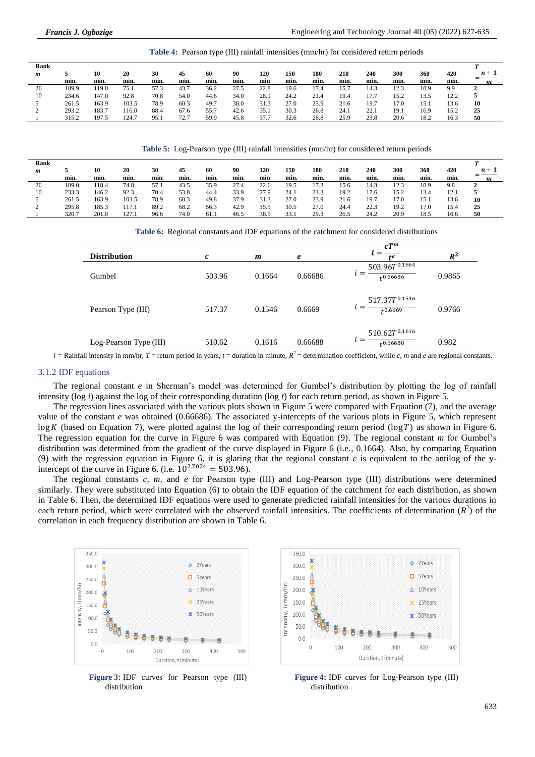**Table 4:** Pearson type (III) rainfall intensities (mm/hr) for considered return periods

| 420<br>360<br>$n+1$ |
|---------------------|
| min.<br>min.<br>m   |
| 10.9<br>9.9<br>∸    |
| 13.5<br>12.2        |
| 15.1<br>13.6<br>10  |
| 25<br>16.9<br>15.2  |
| 18.2<br>16.3<br>50  |
|                     |

**Table 5:** Log-Pearson type (III) rainfall intensities (mm/hr) for considered return periods

| Rank |       |       |       |      |      |      |      |      |      |                |      |      |      |      |      |       |
|------|-------|-------|-------|------|------|------|------|------|------|----------------|------|------|------|------|------|-------|
| m    |       | 10    | 20    | 30   | 45   | 60   | 90   | 120  | 150  | 180            | 210  | 240  | 300  | 360  | 420  | $n+1$ |
|      | min.  | min.  | min.  | min. | min. | min. | min. | min  | min. | min.           | min. | min. | min. | min. | min. | m     |
| 26   | 189.0 | 118.4 | 74.8  | 57.1 | 43.5 | 35.9 | 27.4 | 22.6 | 19.5 | $\overline{7}$ | 15.6 | 14.3 | 12.3 | 10.9 | 9.8  |       |
| 10   | 233.3 | 146.2 | 92.3  | 70.4 | 53.8 | 44.4 | 33.9 | 27.9 | 24.1 | 21.3           | 19.2 | 17.6 | 15.2 | 13.4 | 12.1 |       |
|      | 261.5 | 163.9 | 103.5 | 78.9 | 60.3 | 49.8 | 37.9 | 31.3 | 27.0 | 23.9           | 21.6 | 19.7 | 17.0 | 15.1 | 13.6 | 10    |
| ∼    | 295.8 | 185.3 | 117.1 | 89.2 | 68.2 | 56.3 | 42.9 | 35.5 | 30.5 | 27.0           | 24.4 | 22.3 | 19.2 | 17.0 | 15.4 | 25    |
|      | 320.7 | 201.0 | 127.1 | 96.6 | 74.0 | 61.  | 46.5 | 38.5 | 33.  | 29.3           | 26.5 | 24.2 | 20.9 | 18.5 | 16.6 | 50    |

| Table 6: Regional constants and IDF equations of the catchment for considered distributions |  |  |  |  |  |  |  |  |  |  |
|---------------------------------------------------------------------------------------------|--|--|--|--|--|--|--|--|--|--|
|---------------------------------------------------------------------------------------------|--|--|--|--|--|--|--|--|--|--|

| <b>Distribution</b>    | c      | m      | $\boldsymbol{e}$ | $cT^m$<br>f <sup>e</sup>                     | $R^2$  |
|------------------------|--------|--------|------------------|----------------------------------------------|--------|
| Gumbel                 | 503.96 | 0.1664 | 0.66686          | $503.967$ <sup>0.1664</sup><br>$t^{0.66686}$ | 0.9865 |
| Pearson Type (III)     | 517.37 | 0.1546 | 0.6669           | 517.37 $T^{0.1546}$<br>$t^{0.6669}$          | 0.9766 |
| Log-Pearson Type (III) | 510.62 | 0.1616 | 0.66688          | $510.62T^{0.1616}$<br>$t^{0.66688}$          | 0.982  |

 $i =$  Rainfall intensity in mm/hr,  $T =$  return period in years,  $t =$  duration in minute,  $R^2 =$  determination coefficient, while *c*, *m* and *e* are regional constants.

#### 3.1.2 IDF equations

The regional constant *e* in Sherman's model was determined for Gumbel's distribution by plotting the log of rainfall intensity (log *i*) against the log of their corresponding duration (log *t*) for each return period, as shown in Figure 5.

The regression lines associated with the various plots shown in Figure 5 were compared with Equation (7), and the average value of the constant *e* was obtained (0.66686). The associated y-intercepts of the various plots in Figure 5, which represent  $\log K$  (based on Equation 7), were plotted against the log of their corresponding return period ( $\log T$ ) as shown in Figure 6. The regression equation for the curve in Figure 6 was compared with Equation (9). The regional constant *m* for Gumbel's distribution was determined from the gradient of the curve displayed in Figure 6 (i.e., 0.1664). Also, by comparing Equation (9) with the regression equation in Figure 6, it is glaring that the regional constant *c* is equivalent to the antilog of the yintercept of the curve in Figure 6. (i.e.  $10^{2.7024} = 503.96$ ).

The regional constants *c, m,* and *e* for Pearson type (III) and Log-Pearson type (III) distributions were determined similarly. They were substituted into Equation (6) to obtain the IDF equation of the catchment for each distribution, as shown in Table 6. Then, the determined IDF equations were used to generate predicted rainfall intensities for the various durations in each return period, which were correlated with the observed rainfall intensities. The coefficients of determination  $(R^2)$  of the correlation in each frequency distribution are shown in Table 6.



**Figure 3:** IDF curves for Pearson type (III) distribution



**Figure 4:** IDF curves for Log-Pearson type (III) distribution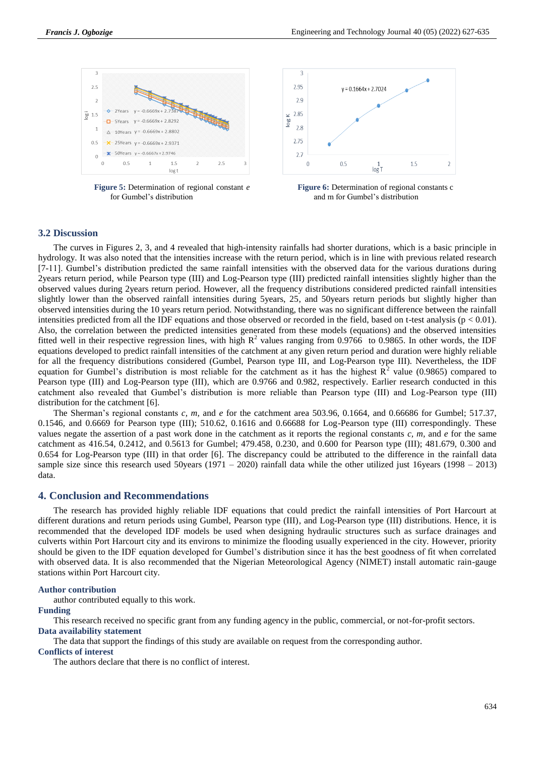

**Figure 5:** Determination of regional constant *e* for Gumbel's distribution



**Figure 6:** Determination of regional constants c and m for Gumbel's distribution

# **3.2 Discussion**

The curves in Figures 2, 3, and 4 revealed that high-intensity rainfalls had shorter durations, which is a basic principle in hydrology. It was also noted that the intensities increase with the return period, which is in line with previous related research [7-11]. Gumbel's distribution predicted the same rainfall intensities with the observed data for the various durations during 2years return period, while Pearson type (III) and Log-Pearson type (III) predicted rainfall intensities slightly higher than the observed values during 2years return period. However, all the frequency distributions considered predicted rainfall intensities slightly lower than the observed rainfall intensities during 5years, 25, and 50years return periods but slightly higher than observed intensities during the 10 years return period. Notwithstanding, there was no significant difference between the rainfall intensities predicted from all the IDF equations and those observed or recorded in the field, based on t-test analysis ( $p < 0.01$ ). Also, the correlation between the predicted intensities generated from these models (equations) and the observed intensities fitted well in their respective regression lines, with high  $R^2$  values ranging from 0.9766 to 0.9865. In other words, the IDF equations developed to predict rainfall intensities of the catchment at any given return period and duration were highly reliable for all the frequency distributions considered (Gumbel, Pearson type III, and Log-Pearson type III). Nevertheless, the IDF equation for Gumbel's distribution is most reliable for the catchment as it has the highest  $\mathbb{R}^2$  value (0.9865) compared to Pearson type (III) and Log-Pearson type (III), which are 0.9766 and 0.982, respectively. Earlier research conducted in this catchment also revealed that Gumbel's distribution is more reliable than Pearson type (III) and Log-Pearson type (III) distribution for the catchment [6].

The Sherman's regional constants *c, m,* and *e* for the catchment area 503.96, 0.1664, and 0.66686 for Gumbel; 517.37,  $0.1546$ , and  $0.6669$  for Pearson type (III); 510.62, 0.1616 and 0.66688 for Log-Pearson type (III) correspondingly. These values negate the assertion of a past work done in the catchment as it reports the regional constants *c, m,* and *e* for the same catchment as 416.54, 0.2412, and 0.5613 for Gumbel; 479.458, 0.230, and 0.600 for Pearson type (III); 481.679, 0.300 and 0.654 for Log-Pearson type (III) in that order [6]. The discrepancy could be attributed to the difference in the rainfall data sample size since this research used 50years (1971 – 2020) rainfall data while the other utilized just 16years (1998 – 2013) data.

# **4. Conclusion and Recommendations**

The research has provided highly reliable IDF equations that could predict the rainfall intensities of Port Harcourt at different durations and return periods using Gumbel, Pearson type (III), and Log-Pearson type (III) distributions. Hence, it is recommended that the developed IDF models be used when designing hydraulic structures such as surface drainages and culverts within Port Harcourt city and its environs to minimize the flooding usually experienced in the city. However, priority should be given to the IDF equation developed for Gumbel's distribution since it has the best goodness of fit when correlated with observed data. It is also recommended that the Nigerian Meteorological Agency (NIMET) install automatic rain-gauge stations within Port Harcourt city.

#### **Author contribution**

author contributed equally to this work.

#### **Funding**

This research received no specific grant from any funding agency in the public, commercial, or not-for-profit sectors. **Data availability statement**

The data that support the findings of this study are available on request from the corresponding author.

# **Conflicts of interest**

The authors declare that there is no conflict of interest.